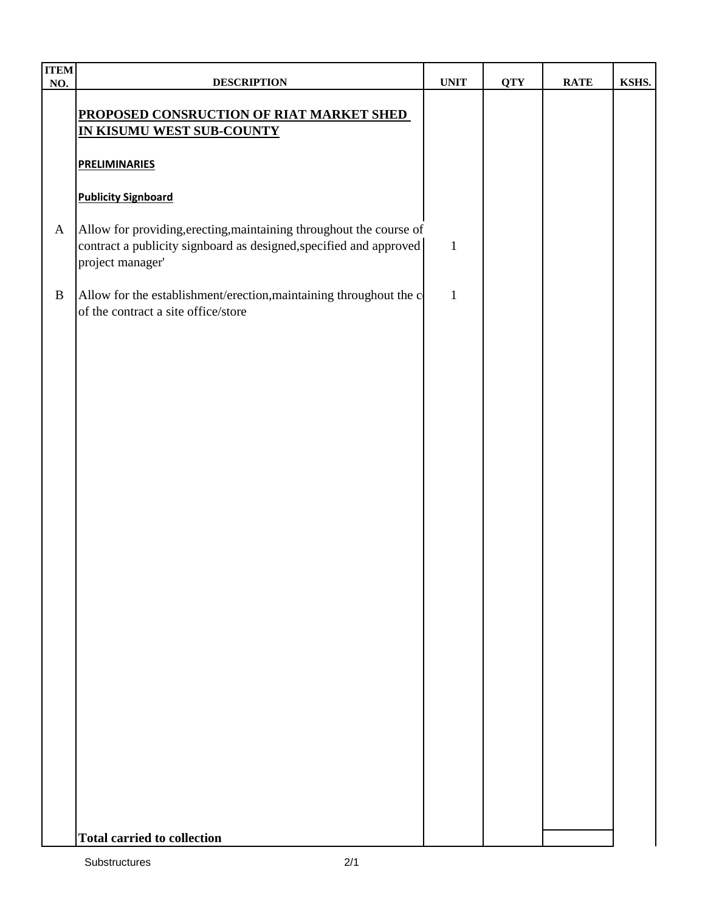| <b>ITEM</b><br>NO. | <b>DESCRIPTION</b>                                                                                                                                            | <b>UNIT</b>  | <b>QTY</b> | <b>RATE</b> | KSHS. |
|--------------------|---------------------------------------------------------------------------------------------------------------------------------------------------------------|--------------|------------|-------------|-------|
|                    | PROPOSED CONSRUCTION OF RIAT MARKET SHED<br>IN KISUMU WEST SUB-COUNTY                                                                                         |              |            |             |       |
|                    | <b>PRELIMINARIES</b>                                                                                                                                          |              |            |             |       |
|                    | <b>Publicity Signboard</b>                                                                                                                                    |              |            |             |       |
| $\mathbf{A}$       | Allow for providing, erecting, maintaining throughout the course of<br>contract a publicity signboard as designed, specified and approved<br>project manager' | $\mathbf{1}$ |            |             |       |
| $\, {\bf B}$       | Allow for the establishment/erection, maintaining throughout the c<br>of the contract a site office/store                                                     | $\mathbf{1}$ |            |             |       |
|                    |                                                                                                                                                               |              |            |             |       |
|                    |                                                                                                                                                               |              |            |             |       |
|                    |                                                                                                                                                               |              |            |             |       |
|                    |                                                                                                                                                               |              |            |             |       |
|                    |                                                                                                                                                               |              |            |             |       |
|                    |                                                                                                                                                               |              |            |             |       |
|                    |                                                                                                                                                               |              |            |             |       |
|                    |                                                                                                                                                               |              |            |             |       |
|                    |                                                                                                                                                               |              |            |             |       |
|                    |                                                                                                                                                               |              |            |             |       |
|                    |                                                                                                                                                               |              |            |             |       |
|                    | <b>Total carried to collection</b>                                                                                                                            |              |            |             |       |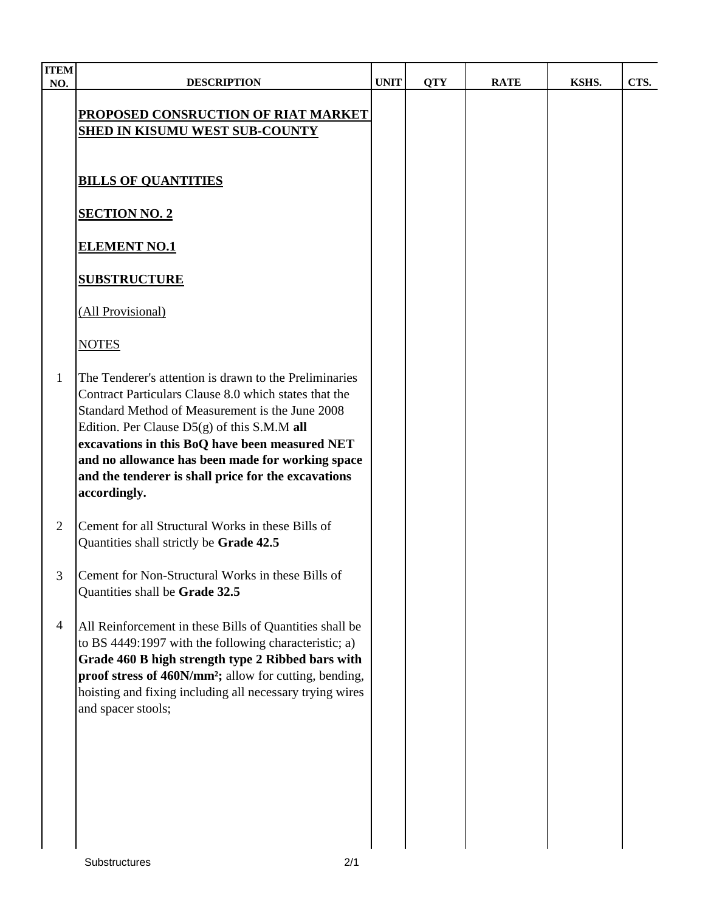| <b>ITEM</b><br>NO. | <b>DESCRIPTION</b>                                                                                                                                                                                                                                                                                                                                                                               | <b>UNIT</b> | <b>QTY</b> | <b>RATE</b> | KSHS. | CTS. |
|--------------------|--------------------------------------------------------------------------------------------------------------------------------------------------------------------------------------------------------------------------------------------------------------------------------------------------------------------------------------------------------------------------------------------------|-------------|------------|-------------|-------|------|
|                    | PROPOSED CONSRUCTION OF RIAT MARKET<br><b>SHED IN KISUMU WEST SUB-COUNTY</b>                                                                                                                                                                                                                                                                                                                     |             |            |             |       |      |
|                    | <b>BILLS OF QUANTITIES</b>                                                                                                                                                                                                                                                                                                                                                                       |             |            |             |       |      |
|                    | <b>SECTION NO. 2</b>                                                                                                                                                                                                                                                                                                                                                                             |             |            |             |       |      |
|                    | <b>ELEMENT NO.1</b>                                                                                                                                                                                                                                                                                                                                                                              |             |            |             |       |      |
|                    | <b>SUBSTRUCTURE</b>                                                                                                                                                                                                                                                                                                                                                                              |             |            |             |       |      |
|                    | (All Provisional)                                                                                                                                                                                                                                                                                                                                                                                |             |            |             |       |      |
|                    | <b>NOTES</b>                                                                                                                                                                                                                                                                                                                                                                                     |             |            |             |       |      |
| 1                  | The Tenderer's attention is drawn to the Preliminaries<br>Contract Particulars Clause 8.0 which states that the<br>Standard Method of Measurement is the June 2008<br>Edition. Per Clause $D5(g)$ of this S.M.M all<br>excavations in this BoQ have been measured NET<br>and no allowance has been made for working space<br>and the tenderer is shall price for the excavations<br>accordingly. |             |            |             |       |      |
| 2                  | Cement for all Structural Works in these Bills of<br>Quantities shall strictly be Grade 42.5                                                                                                                                                                                                                                                                                                     |             |            |             |       |      |
| 3 <sup>7</sup>     | Cement for Non-Structural Works in these Bills of<br>Quantities shall be Grade 32.5                                                                                                                                                                                                                                                                                                              |             |            |             |       |      |
| $\overline{4}$     | All Reinforcement in these Bills of Quantities shall be<br>to BS 4449:1997 with the following characteristic; a)<br>Grade 460 B high strength type 2 Ribbed bars with<br>proof stress of 460N/mm <sup>2</sup> ; allow for cutting, bending,<br>hoisting and fixing including all necessary trying wires<br>and spacer stools;                                                                    |             |            |             |       |      |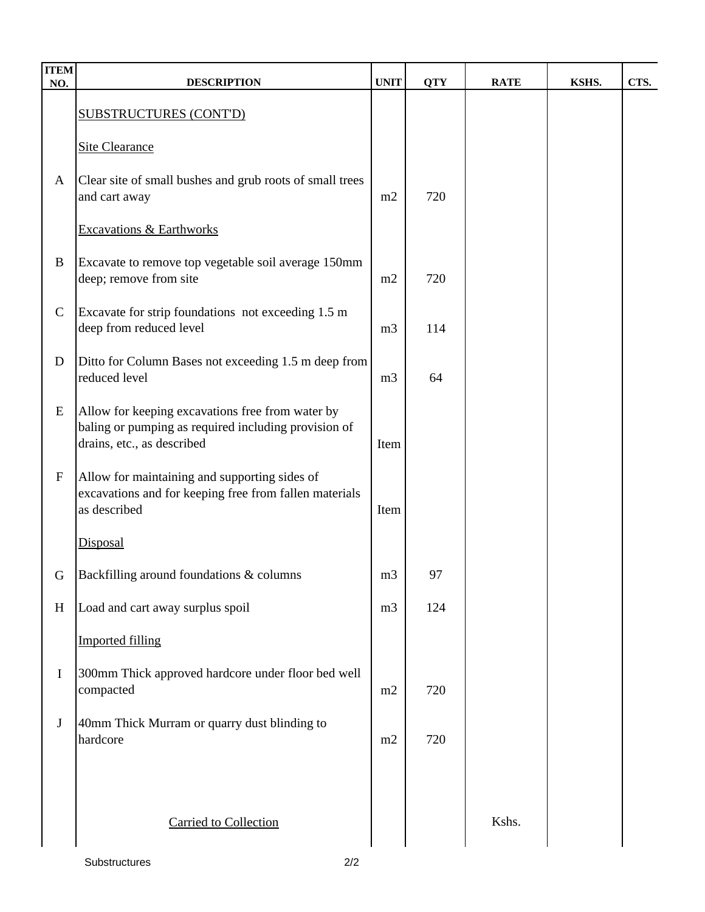| <b>ITEM</b><br>NO. | <b>DESCRIPTION</b>                                                                 | <b>UNIT</b>    | <b>QTY</b> | <b>RATE</b> | KSHS. | CTS. |
|--------------------|------------------------------------------------------------------------------------|----------------|------------|-------------|-------|------|
|                    | <b>SUBSTRUCTURES (CONT'D)</b>                                                      |                |            |             |       |      |
|                    |                                                                                    |                |            |             |       |      |
|                    | <b>Site Clearance</b>                                                              |                |            |             |       |      |
| $\mathbf{A}$       | Clear site of small bushes and grub roots of small trees<br>and cart away          | m2             | 720        |             |       |      |
|                    |                                                                                    |                |            |             |       |      |
|                    | <b>Excavations &amp; Earthworks</b>                                                |                |            |             |       |      |
| $\bf{B}$           | Excavate to remove top vegetable soil average 150mm<br>deep; remove from site      | m2             | 720        |             |       |      |
|                    |                                                                                    |                |            |             |       |      |
| $\mathbf C$        | Excavate for strip foundations not exceeding 1.5 m<br>deep from reduced level      | m <sub>3</sub> | 114        |             |       |      |
| $\mathbf D$        | Ditto for Column Bases not exceeding 1.5 m deep from                               |                |            |             |       |      |
|                    | reduced level                                                                      | m <sub>3</sub> | 64         |             |       |      |
| ${\bf E}$          | Allow for keeping excavations free from water by                                   |                |            |             |       |      |
|                    | baling or pumping as required including provision of<br>drains, etc., as described | Item           |            |             |       |      |
| $\mathbf F$        | Allow for maintaining and supporting sides of                                      |                |            |             |       |      |
|                    | excavations and for keeping free from fallen materials                             |                |            |             |       |      |
|                    | as described                                                                       | Item           |            |             |       |      |
|                    | Disposal                                                                           |                |            |             |       |      |
| G                  | Backfilling around foundations & columns                                           | m <sub>3</sub> | 97         |             |       |      |
| H                  | Load and cart away surplus spoil                                                   | m <sub>3</sub> | 124        |             |       |      |
|                    | <b>Imported filling</b>                                                            |                |            |             |       |      |
| I                  | 300mm Thick approved hardcore under floor bed well                                 |                |            |             |       |      |
|                    | compacted                                                                          | m2             | 720        |             |       |      |
| $\bf J$            | 40mm Thick Murram or quarry dust blinding to                                       |                |            |             |       |      |
|                    | hardcore                                                                           | m2             | 720        |             |       |      |
|                    |                                                                                    |                |            |             |       |      |
|                    |                                                                                    |                |            |             |       |      |
|                    | <b>Carried to Collection</b>                                                       |                |            | Kshs.       |       |      |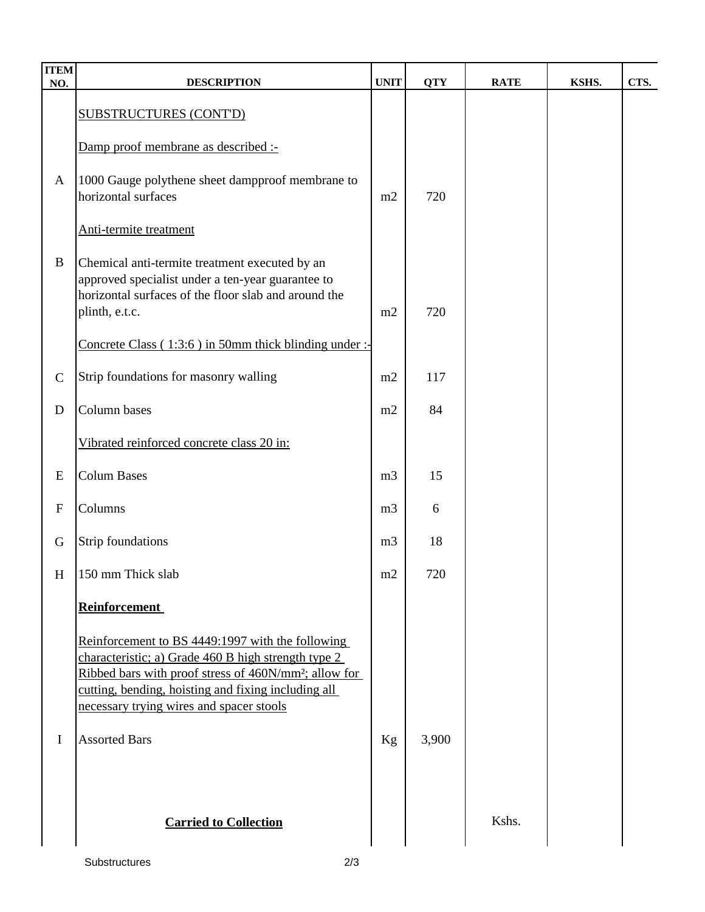| <b>ITEM</b><br>NO. | <b>DESCRIPTION</b>                                                                                                       | <b>UNIT</b>    | <b>QTY</b> | <b>RATE</b> | KSHS. | CTS. |
|--------------------|--------------------------------------------------------------------------------------------------------------------------|----------------|------------|-------------|-------|------|
|                    | <b>SUBSTRUCTURES (CONT'D)</b>                                                                                            |                |            |             |       |      |
|                    |                                                                                                                          |                |            |             |       |      |
|                    | Damp proof membrane as described :-                                                                                      |                |            |             |       |      |
| $\mathbf{A}$       | 1000 Gauge polythene sheet dampproof membrane to                                                                         |                |            |             |       |      |
|                    | horizontal surfaces                                                                                                      | m2             | 720        |             |       |      |
|                    | Anti-termite treatment                                                                                                   |                |            |             |       |      |
| $\, {\bf B}$       | Chemical anti-termite treatment executed by an                                                                           |                |            |             |       |      |
|                    | approved specialist under a ten-year guarantee to<br>horizontal surfaces of the floor slab and around the                |                |            |             |       |      |
|                    | plinth, e.t.c.                                                                                                           | m2             | 720        |             |       |      |
|                    | Concrete Class (1:3:6) in 50mm thick blinding under :-                                                                   |                |            |             |       |      |
|                    |                                                                                                                          |                |            |             |       |      |
| $\mathcal{C}$      | Strip foundations for masonry walling                                                                                    | m2             | 117        |             |       |      |
| $\mathbf D$        | Column bases                                                                                                             | m2             | 84         |             |       |      |
|                    | Vibrated reinforced concrete class 20 in:                                                                                |                |            |             |       |      |
| E                  | <b>Colum Bases</b>                                                                                                       | m <sub>3</sub> | 15         |             |       |      |
| $\mathbf{F}$       | Columns                                                                                                                  | m <sub>3</sub> | 6          |             |       |      |
| G                  | <b>Strip foundations</b>                                                                                                 | m <sub>3</sub> | 18         |             |       |      |
| H                  | 150 mm Thick slab                                                                                                        | m2             | 720        |             |       |      |
|                    | <b>Reinforcement</b>                                                                                                     |                |            |             |       |      |
|                    | Reinforcement to BS 4449:1997 with the following                                                                         |                |            |             |       |      |
|                    | characteristic; a) Grade 460 B high strength type 2                                                                      |                |            |             |       |      |
|                    | Ribbed bars with proof stress of 460N/mm <sup>2</sup> ; allow for<br>cutting, bending, hoisting and fixing including all |                |            |             |       |      |
|                    | necessary trying wires and spacer stools                                                                                 |                |            |             |       |      |
| $\bf{I}$           | <b>Assorted Bars</b>                                                                                                     | Kg             | 3,900      |             |       |      |
|                    |                                                                                                                          |                |            |             |       |      |
|                    |                                                                                                                          |                |            |             |       |      |
|                    | <b>Carried to Collection</b>                                                                                             |                |            | Kshs.       |       |      |
|                    |                                                                                                                          |                |            |             |       |      |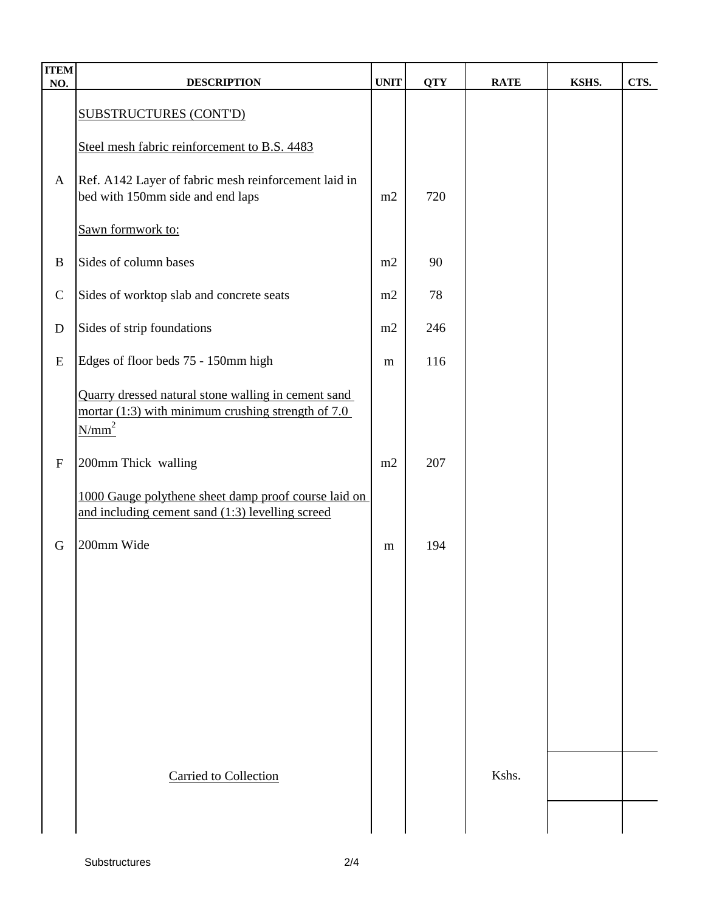| <b>ITEM</b><br>NO. | <b>DESCRIPTION</b>                                                                                                      | <b>UNIT</b> | <b>QTY</b> | <b>RATE</b> | KSHS. | CTS. |
|--------------------|-------------------------------------------------------------------------------------------------------------------------|-------------|------------|-------------|-------|------|
|                    | <b>SUBSTRUCTURES (CONT'D)</b>                                                                                           |             |            |             |       |      |
|                    | Steel mesh fabric reinforcement to B.S. 4483                                                                            |             |            |             |       |      |
| $\mathbf{A}$       | Ref. A142 Layer of fabric mesh reinforcement laid in<br>bed with 150mm side and end laps                                | m2          | 720        |             |       |      |
|                    | Sawn formwork to:                                                                                                       |             |            |             |       |      |
| $\bf{B}$           | Sides of column bases                                                                                                   | m2          | 90         |             |       |      |
| $\mathcal{C}$      | Sides of worktop slab and concrete seats                                                                                | m2          | 78         |             |       |      |
| $\mathbf D$        | Sides of strip foundations                                                                                              | m2          | 246        |             |       |      |
| E                  | Edges of floor beds 75 - 150mm high                                                                                     | m           | 116        |             |       |      |
|                    | Quarry dressed natural stone walling in cement sand<br>mortar $(1:3)$ with minimum crushing strength of 7.0<br>$N/mm^2$ |             |            |             |       |      |
| ${\bf F}$          | 200mm Thick walling                                                                                                     | m2          | 207        |             |       |      |
|                    | 1000 Gauge polythene sheet damp proof course laid on<br>and including cement sand (1:3) levelling screed                |             |            |             |       |      |
| $\mathbf G$        | 200mm Wide                                                                                                              | m           | 194        |             |       |      |
|                    |                                                                                                                         |             |            |             |       |      |
|                    |                                                                                                                         |             |            |             |       |      |
|                    |                                                                                                                         |             |            |             |       |      |
|                    |                                                                                                                         |             |            |             |       |      |
|                    |                                                                                                                         |             |            |             |       |      |
|                    | <b>Carried to Collection</b>                                                                                            |             |            | Kshs.       |       |      |
|                    |                                                                                                                         |             |            |             |       |      |
|                    |                                                                                                                         |             |            |             |       |      |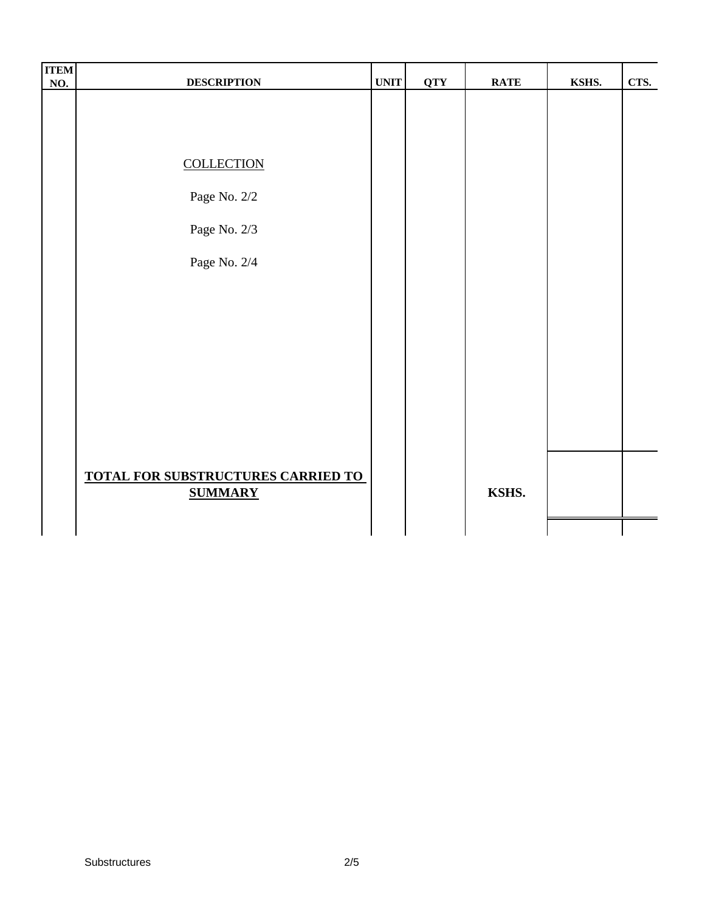| <b>ITEM</b><br><b>NO.</b> | <b>DESCRIPTION</b>                 | <b>UNIT</b> | <b>QTY</b> | <b>RATE</b> | KSHS. | CTS. |
|---------------------------|------------------------------------|-------------|------------|-------------|-------|------|
|                           |                                    |             |            |             |       |      |
|                           |                                    |             |            |             |       |      |
|                           |                                    |             |            |             |       |      |
|                           | <b>COLLECTION</b>                  |             |            |             |       |      |
|                           | Page No. 2/2                       |             |            |             |       |      |
|                           | Page No. $2/3$                     |             |            |             |       |      |
|                           | Page No. 2/4                       |             |            |             |       |      |
|                           |                                    |             |            |             |       |      |
|                           |                                    |             |            |             |       |      |
|                           |                                    |             |            |             |       |      |
|                           |                                    |             |            |             |       |      |
|                           |                                    |             |            |             |       |      |
|                           |                                    |             |            |             |       |      |
|                           | TOTAL FOR SUBSTRUCTURES CARRIED TO |             |            |             |       |      |
|                           | <b>SUMMARY</b>                     |             |            | KSHS.       |       |      |
|                           |                                    |             |            |             |       |      |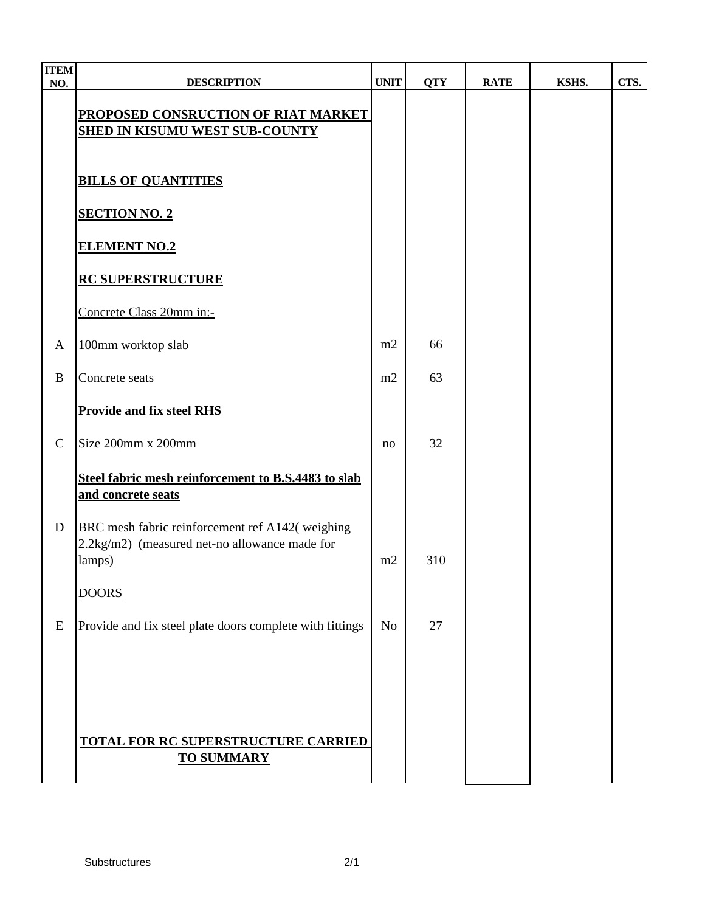| <b>TTEM</b><br>$\underline{\mathbf{NO}}$ . | <b>DESCRIPTION</b>                                                                                         | <b>UNIT</b> | <b>QTY</b> | <b>RATE</b> | KSHS. | CTS. |
|--------------------------------------------|------------------------------------------------------------------------------------------------------------|-------------|------------|-------------|-------|------|
|                                            | PROPOSED CONSRUCTION OF RIAT MARKET<br><b>SHED IN KISUMU WEST SUB-COUNTY</b>                               |             |            |             |       |      |
|                                            | <b>BILLS OF QUANTITIES</b>                                                                                 |             |            |             |       |      |
|                                            | <b>SECTION NO. 2</b>                                                                                       |             |            |             |       |      |
|                                            | <b>ELEMENT NO.2</b>                                                                                        |             |            |             |       |      |
|                                            | <b>RC SUPERSTRUCTURE</b>                                                                                   |             |            |             |       |      |
|                                            | Concrete Class 20mm in:-                                                                                   |             |            |             |       |      |
| A                                          | 100mm worktop slab                                                                                         | m2          | 66         |             |       |      |
| B                                          | Concrete seats                                                                                             | m2          | 63         |             |       |      |
|                                            | <b>Provide and fix steel RHS</b>                                                                           |             |            |             |       |      |
| $\mathbf C$                                | Size 200mm x 200mm                                                                                         | no          | 32         |             |       |      |
|                                            | Steel fabric mesh reinforcement to B.S.4483 to slab<br>and concrete seats                                  |             |            |             |       |      |
| D                                          | BRC mesh fabric reinforcement ref A142(weighing<br>2.2kg/m2) (measured net-no allowance made for<br>lamps) | m2          | 310        |             |       |      |
|                                            | <b>DOORS</b>                                                                                               |             |            |             |       |      |
| E                                          | Provide and fix steel plate doors complete with fittings                                                   | <b>No</b>   | 27         |             |       |      |
|                                            | <b>TOTAL FOR RC SUPERSTRUCTURE CARRIED</b><br><b>TO SUMMARY</b>                                            |             |            |             |       |      |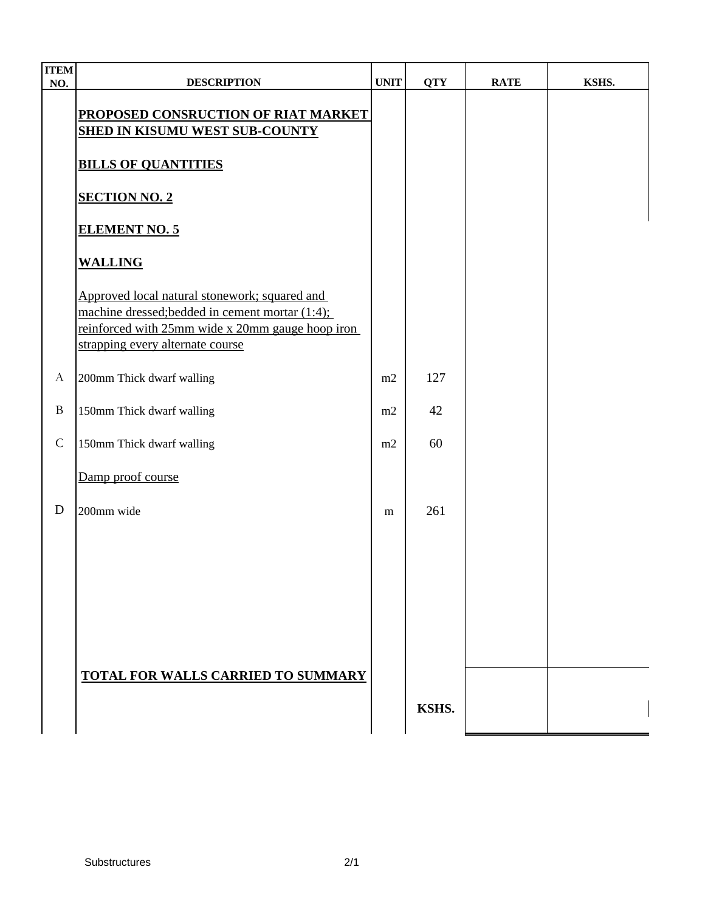| <b>ITEM</b><br>NO. | <b>DESCRIPTION</b>                                                                                                                                                                       | <b>UNIT</b> | <b>QTY</b> | <b>RATE</b> | KSHS. |
|--------------------|------------------------------------------------------------------------------------------------------------------------------------------------------------------------------------------|-------------|------------|-------------|-------|
|                    | PROPOSED CONSRUCTION OF RIAT MARKET<br><b>SHED IN KISUMU WEST SUB-COUNTY</b>                                                                                                             |             |            |             |       |
|                    | <b>BILLS OF QUANTITIES</b>                                                                                                                                                               |             |            |             |       |
|                    | <b>SECTION NO. 2</b>                                                                                                                                                                     |             |            |             |       |
|                    | <b>ELEMENT NO. 5</b>                                                                                                                                                                     |             |            |             |       |
|                    | <b>WALLING</b>                                                                                                                                                                           |             |            |             |       |
|                    | Approved local natural stonework; squared and<br>machine dressed; bedded in cement mortar (1:4);<br>reinforced with 25mm wide x 20mm gauge hoop iron<br>strapping every alternate course |             |            |             |       |
| $\boldsymbol{A}$   | 200mm Thick dwarf walling                                                                                                                                                                | m2          | 127        |             |       |
| $\mathbf{B}$       | 150mm Thick dwarf walling                                                                                                                                                                | m2          | 42         |             |       |
| $\mathsf C$        | 150mm Thick dwarf walling                                                                                                                                                                | m2          | 60         |             |       |
|                    | Damp proof course                                                                                                                                                                        |             |            |             |       |
| D                  | 200mm wide                                                                                                                                                                               | m           | 261        |             |       |
|                    |                                                                                                                                                                                          |             |            |             |       |
|                    |                                                                                                                                                                                          |             |            |             |       |
|                    |                                                                                                                                                                                          |             |            |             |       |
|                    |                                                                                                                                                                                          |             |            |             |       |
|                    | <b>TOTAL FOR WALLS CARRIED TO SUMMARY</b>                                                                                                                                                |             |            |             |       |
|                    |                                                                                                                                                                                          |             | KSHS.      |             |       |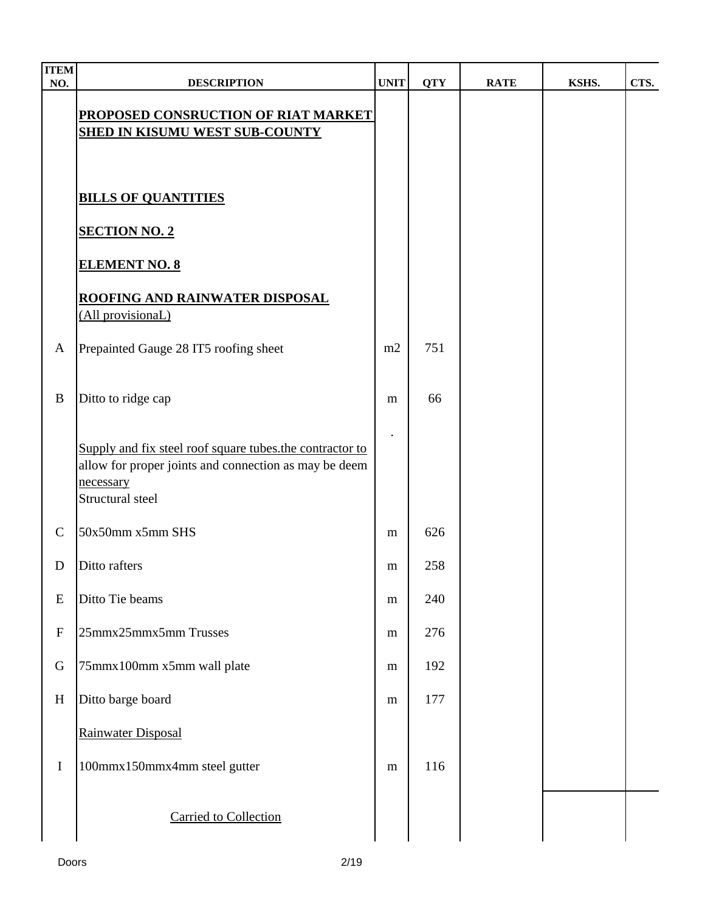| <b>ITEM</b><br>NO.        | <b>DESCRIPTION</b>                                                                                                                                 | <b>UNIT</b> | <b>QTY</b> | <b>RATE</b> | KSHS. | CTS. |
|---------------------------|----------------------------------------------------------------------------------------------------------------------------------------------------|-------------|------------|-------------|-------|------|
|                           | <b>PROPOSED CONSRUCTION OF RIAT MARKET</b><br><b>SHED IN KISUMU WEST SUB-COUNTY</b>                                                                |             |            |             |       |      |
|                           | <b>BILLS OF QUANTITIES</b>                                                                                                                         |             |            |             |       |      |
|                           | <b>SECTION NO. 2</b>                                                                                                                               |             |            |             |       |      |
|                           | <b>ELEMENT NO. 8</b>                                                                                                                               |             |            |             |       |      |
|                           | <b>ROOFING AND RAINWATER DISPOSAL</b><br>(All provisionaL)                                                                                         |             |            |             |       |      |
| $\mathbf{A}$              | Prepainted Gauge 28 IT5 roofing sheet                                                                                                              | m2          | 751        |             |       |      |
| $\bf{B}$                  | Ditto to ridge cap                                                                                                                                 | m           | 66         |             |       |      |
|                           | Supply and fix steel roof square tubes the contractor to<br>allow for proper joints and connection as may be deem<br>necessary<br>Structural steel |             |            |             |       |      |
| $\mathcal{C}$             | 50x50mm x5mm SHS                                                                                                                                   | m           | 626        |             |       |      |
| D                         | Ditto rafters                                                                                                                                      | m           | 258        |             |       |      |
| E                         | Ditto Tie beams                                                                                                                                    | m           | 240        |             |       |      |
| $\boldsymbol{\mathrm{F}}$ | 25mmx25mmx5mm Trusses                                                                                                                              | m           | 276        |             |       |      |
| G                         | 75mmx100mm x5mm wall plate                                                                                                                         | ${\bf m}$   | 192        |             |       |      |
| H                         | Ditto barge board                                                                                                                                  | ${\bf m}$   | 177        |             |       |      |
|                           | Rainwater Disposal                                                                                                                                 |             |            |             |       |      |
| $\mathbf I$               | 100mmx150mmx4mm steel gutter                                                                                                                       | ${\bf m}$   | 116        |             |       |      |
|                           | <b>Carried to Collection</b>                                                                                                                       |             |            |             |       |      |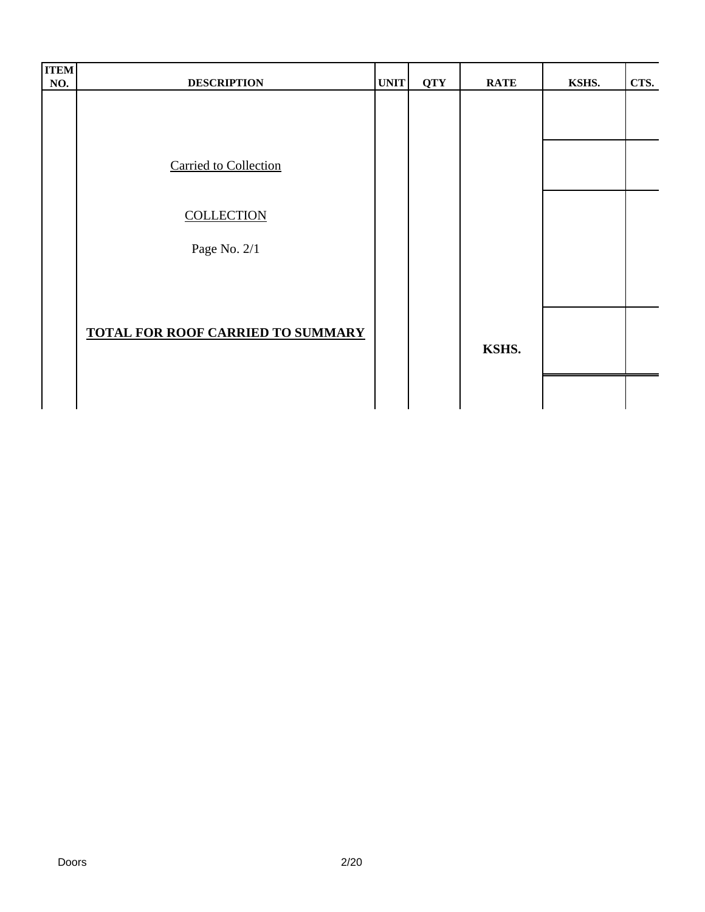| <b>ITEM</b><br>NO. | <b>DESCRIPTION</b>                       | <b>UNIT</b> | <b>QTY</b> | <b>RATE</b> | KSHS. | CTS. |
|--------------------|------------------------------------------|-------------|------------|-------------|-------|------|
|                    |                                          |             |            |             |       |      |
|                    |                                          |             |            |             |       |      |
|                    | <b>Carried to Collection</b>             |             |            |             |       |      |
|                    | <b>COLLECTION</b>                        |             |            |             |       |      |
|                    | Page No. 2/1                             |             |            |             |       |      |
|                    |                                          |             |            |             |       |      |
|                    |                                          |             |            |             |       |      |
|                    | <b>TOTAL FOR ROOF CARRIED TO SUMMARY</b> |             |            | KSHS.       |       |      |
|                    |                                          |             |            |             |       |      |
|                    |                                          |             |            |             |       |      |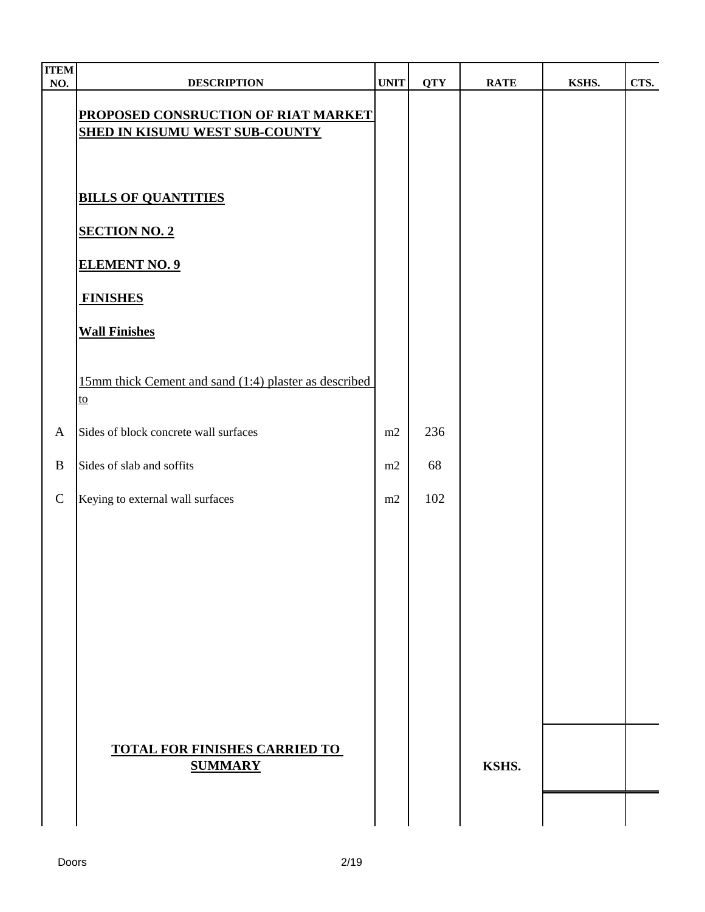| <b>ITEM</b><br>NO. | <b>DESCRIPTION</b>                                                           | <b>UNIT</b> | <b>QTY</b> | <b>RATE</b> | KSHS. | CTS. |
|--------------------|------------------------------------------------------------------------------|-------------|------------|-------------|-------|------|
|                    | PROPOSED CONSRUCTION OF RIAT MARKET<br><b>SHED IN KISUMU WEST SUB-COUNTY</b> |             |            |             |       |      |
|                    | <b>BILLS OF QUANTITIES</b>                                                   |             |            |             |       |      |
|                    | <b>SECTION NO. 2</b><br><b>ELEMENT NO. 9</b>                                 |             |            |             |       |      |
|                    | <b>FINISHES</b>                                                              |             |            |             |       |      |
|                    | <b>Wall Finishes</b>                                                         |             |            |             |       |      |
|                    | 15mm thick Cement and sand (1:4) plaster as described<br>to                  |             |            |             |       |      |
| $\mathbf{A}$       | Sides of block concrete wall surfaces                                        | m2          | 236        |             |       |      |
| $\, {\bf B}$       | Sides of slab and soffits                                                    | m2          | 68         |             |       |      |
| ${\bf C}$          | Keying to external wall surfaces                                             | m2          | 102        |             |       |      |
|                    |                                                                              |             |            |             |       |      |
|                    |                                                                              |             |            |             |       |      |
|                    |                                                                              |             |            |             |       |      |
|                    |                                                                              |             |            |             |       |      |
|                    |                                                                              |             |            |             |       |      |
|                    | <b>TOTAL FOR FINISHES CARRIED TO</b><br><b>SUMMARY</b>                       |             |            | KSHS.       |       |      |
|                    |                                                                              |             |            |             |       |      |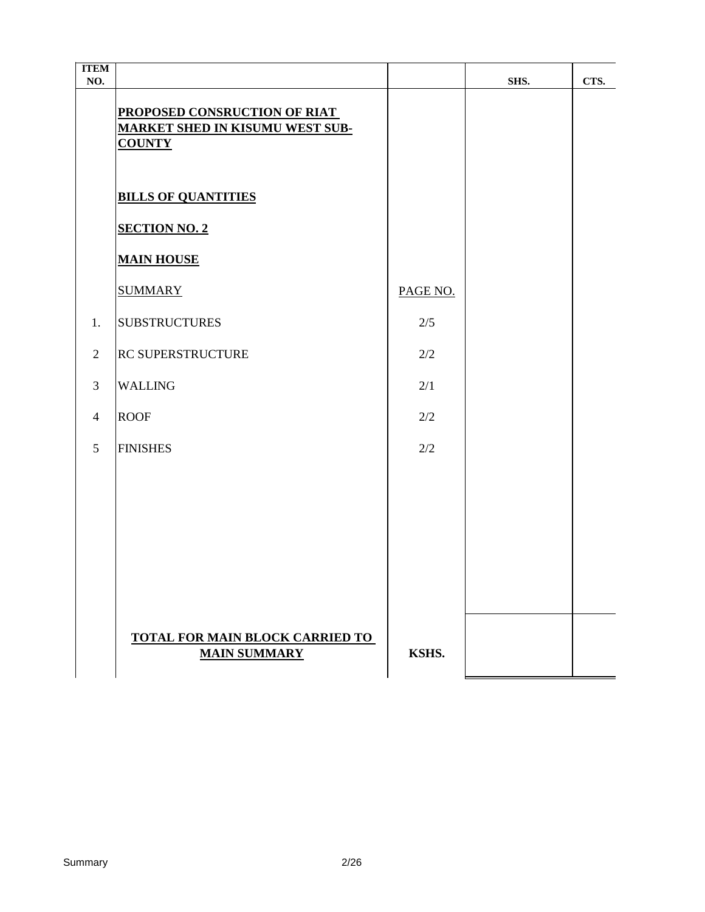| <b>ITEM</b><br>NO. |                                                                                         |          | SHS. | CTS. |
|--------------------|-----------------------------------------------------------------------------------------|----------|------|------|
|                    | PROPOSED CONSRUCTION OF RIAT<br><b>MARKET SHED IN KISUMU WEST SUB-</b><br><b>COUNTY</b> |          |      |      |
|                    | <b>BILLS OF QUANTITIES</b>                                                              |          |      |      |
|                    | <b>SECTION NO. 2</b>                                                                    |          |      |      |
|                    | <b>MAIN HOUSE</b>                                                                       |          |      |      |
|                    | <b>SUMMARY</b>                                                                          | PAGE NO. |      |      |
| 1.                 | <b>SUBSTRUCTURES</b>                                                                    | 2/5      |      |      |
| $\overline{2}$     | RC SUPERSTRUCTURE                                                                       | 2/2      |      |      |
| 3                  | <b>WALLING</b>                                                                          | 2/1      |      |      |
| $\overline{4}$     | <b>ROOF</b>                                                                             | 2/2      |      |      |
| 5                  | <b>FINISHES</b>                                                                         | 2/2      |      |      |
|                    |                                                                                         |          |      |      |
|                    |                                                                                         |          |      |      |
|                    |                                                                                         |          |      |      |
|                    |                                                                                         |          |      |      |
|                    |                                                                                         |          |      |      |
|                    | <b>TOTAL FOR MAIN BLOCK CARRIED TO</b><br><b>MAIN SUMMARY</b>                           | KSHS.    |      |      |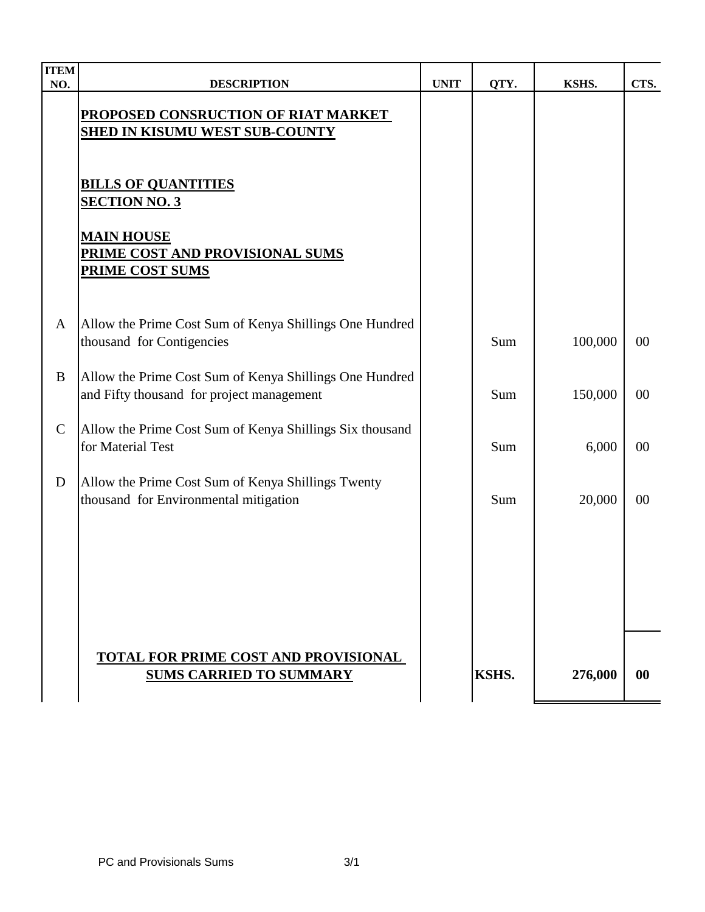| <b>ITEM</b><br>NO. | <b>DESCRIPTION</b>                                                                                   | <b>UNIT</b> | QTY.  | KSHS.   | CTS.      |
|--------------------|------------------------------------------------------------------------------------------------------|-------------|-------|---------|-----------|
|                    | PROPOSED CONSRUCTION OF RIAT MARKET<br><b>SHED IN KISUMU WEST SUB-COUNTY</b>                         |             |       |         |           |
|                    | <b>BILLS OF QUANTITIES</b><br><b>SECTION NO. 3</b>                                                   |             |       |         |           |
|                    | <b>MAIN HOUSE</b><br>PRIME COST AND PROVISIONAL SUMS<br><b>PRIME COST SUMS</b>                       |             |       |         |           |
| A                  | Allow the Prime Cost Sum of Kenya Shillings One Hundred<br>thousand for Contigencies                 |             | Sum   | 100,000 | $00\,$    |
| B                  | Allow the Prime Cost Sum of Kenya Shillings One Hundred<br>and Fifty thousand for project management |             | Sum   | 150,000 | $00\,$    |
| $\mathcal{C}$      | Allow the Prime Cost Sum of Kenya Shillings Six thousand<br>for Material Test                        |             | Sum   | 6,000   | $00\,$    |
| D                  | Allow the Prime Cost Sum of Kenya Shillings Twenty<br>thousand for Environmental mitigation          |             | Sum   | 20,000  | 00        |
|                    |                                                                                                      |             |       |         |           |
|                    |                                                                                                      |             |       |         |           |
|                    | TOTAL FOR PRIME COST AND PROVISIONAL<br><b>SUMS CARRIED TO SUMMARY</b>                               |             | KSHS. | 276,000 | $\bf{00}$ |